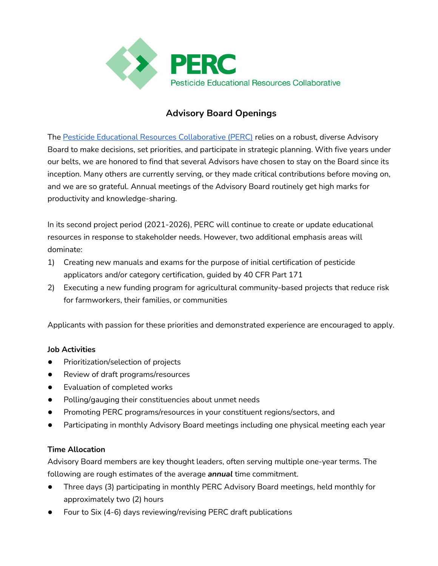

# **Advisory Board Openings**

The Pesticide Educational Resources Collaborative (PERC) relies on a robust, diverse Advisory Board to make decisions, set priorities, and participate in strategic planning. With five years under our belts, we are honored to find that several Advisors have chosen to stay on the Board since its inception. Many others are currently serving, or they made critical contributions before moving on, and we are so grateful. Annual meetings of the Advisory Board routinely get high marks for productivity and knowledge-sharing.

In its second project period (2021-2026), PERC will continue to create or update educational resources in response to stakeholder needs. However, two additional emphasis areas will dominate:

- 1) Creating new manuals and exams for the purpose of initial certification of pesticide applicators and/or category certification, guided by 40 CFR Part 171
- 2) Executing a new funding program for agricultural community-based projects that reduce risk for farmworkers, their families, or communities

Applicants with passion for these priorities and demonstrated experience are encouraged to apply.

#### **Job Activities**

- Prioritization/selection of projects
- Review of draft programs/resources
- Evaluation of completed works
- Polling/gauging their constituencies about unmet needs
- Promoting PERC programs/resources in your constituent regions/sectors, and
- Participating in monthly Advisory Board meetings including one physical meeting each year

#### **Time Allocation**

Advisory Board members are key thought leaders, often serving multiple one-year terms. The following are rough estimates of the average *annual* time commitment.

- Three days (3) participating in monthly PERC Advisory Board meetings, held monthly for approximately two (2) hours
- Four to Six (4-6) days reviewing/revising PERC draft publications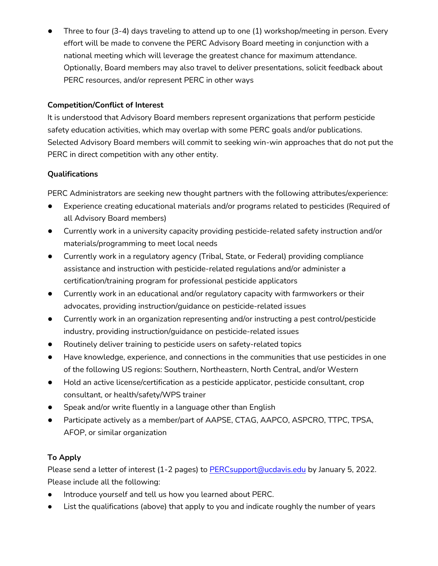Three to four (3-4) days traveling to attend up to one (1) workshop/meeting in person. Every effort will be made to convene the PERC Advisory Board meeting in conjunction with a national meeting which will leverage the greatest chance for maximum attendance. Optionally, Board members may also travel to deliver presentations, solicit feedback about PERC resources, and/or represent PERC in other ways

### **Competition/Conflict of Interest**

It is understood that Advisory Board members represent organizations that perform pesticide safety education activities, which may overlap with some PERC goals and/or publications. Selected Advisory Board members will commit to seeking win-win approaches that do not put the PERC in direct competition with any other entity.

## **Qualifications**

PERC Administrators are seeking new thought partners with the following attributes/experience:

- Experience creating educational materials and/or programs related to pesticides (Required of all Advisory Board members)
- Currently work in a university capacity providing pesticide-related safety instruction and/or materials/programming to meet local needs
- Currently work in a regulatory agency (Tribal, State, or Federal) providing compliance assistance and instruction with pesticide-related regulations and/or administer a certification/training program for professional pesticide applicators
- Currently work in an educational and/or regulatory capacity with farmworkers or their advocates, providing instruction/guidance on pesticide-related issues
- Currently work in an organization representing and/or instructing a pest control/pesticide industry, providing instruction/guidance on pesticide-related issues
- Routinely deliver training to pesticide users on safety-related topics
- Have knowledge, experience, and connections in the communities that use pesticides in one of the following US regions: Southern, Northeastern, North Central, and/or Western
- Hold an active license/certification as a pesticide applicator, pesticide consultant, crop consultant, or health/safety/WPS trainer
- Speak and/or write fluently in a language other than English
- Participate actively as a member/part of AAPSE, CTAG, AAPCO, ASPCRO, TTPC, TPSA, AFOP, or similar organization

# **To Apply**

Please send a letter of interest (1-2 pages) to PERCsupport@ucdavis.edu by January 5, 2022. Please include all the following:

- Introduce yourself and tell us how you learned about PERC.
- List the qualifications (above) that apply to you and indicate roughly the number of years